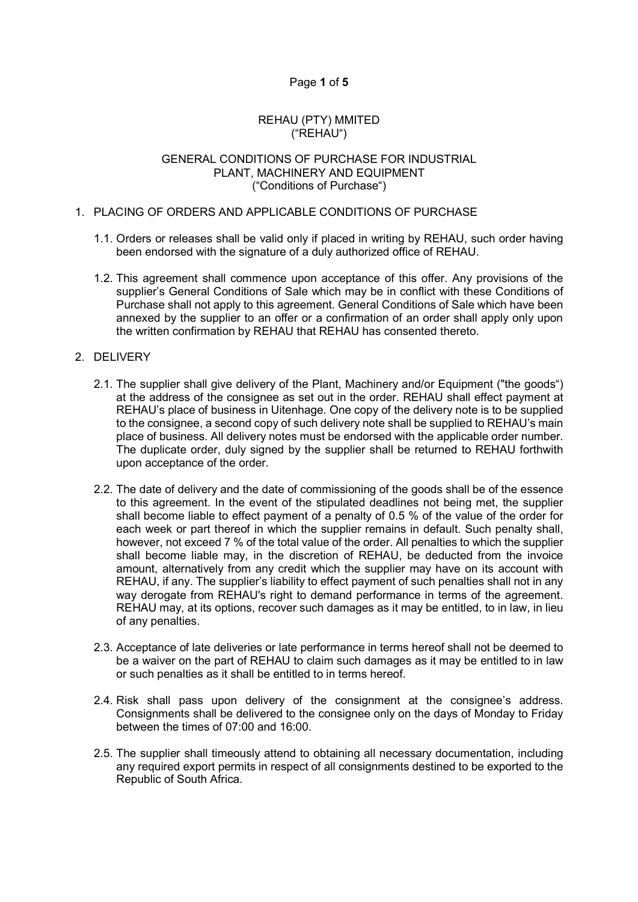# Page 1 of 5

## REHAU (PTY) MMITED ("REHAU")

#### GENERAL CONDITIONS OF PURCHASE FOR INDUSTRIAL PLANT, MACHINERY AND EQUIPMENT ("Conditions of Purchase")

## 1. PLACING OF ORDERS AND APPLICABLE CONDITIONS OF PURCHASE

- 1.1. Orders or releases shall be valid only if placed in writing by REHAU, such order having been endorsed with the signature of a duly authorized office of REHAU.
- 1.2. This agreement shall commence upon acceptance of this offer. Any provisions of the supplier's General Conditions of Sale which may be in conflict with these Conditions of Purchase shall not apply to this agreement. General Conditions of Sale which have been annexed by the supplier to an offer or a confirmation of an order shall apply only upon the written confirmation by REHAU that REHAU has consented thereto.

# 2. DELIVERY

- 2.1. The supplier shall give delivery of the Plant, Machinery and/or Equipment ("the goods") at the address of the consignee as set out in the order. REHAU shall effect payment at REHAU's place of business in Uitenhage. One copy of the delivery note is to be supplied to the consignee, a second copy of such delivery note shall be supplied to REHAU's main place of business. All delivery notes must be endorsed with the applicable order number. The duplicate order, duly signed by the supplier shall be returned to REHAU forthwith upon acceptance of the order.
- 2.2. The date of delivery and the date of commissioning of the goods shall be of the essence to this agreement. In the event of the stipulated deadlines not being met, the supplier shall become liable to effect payment of a penalty of 0.5 % of the value of the order for each week or part thereof in which the supplier remains in default. Such penalty shall, however, not exceed 7 % of the total value of the order. All penalties to which the supplier shall become liable may, in the discretion of REHAU, be deducted from the invoice amount, alternatively from any credit which the supplier may have on its account with REHAU, if any. The supplier's liability to effect payment of such penalties shall not in any way derogate from REHAU's right to demand performance in terms of the agreement. REHAU may, at its options, recover such damages as it may be entitled, to in law, in lieu of any penalties.
- 2.3. Acceptance of late deliveries or late performance in terms hereof shall not be deemed to be a waiver on the part of REHAU to claim such damages as it may be entitled to in law or such penalties as it shall be entitled to in terms hereof.
- 2.4. Risk shall pass upon delivery of the consignment at the consignee's address. Consignments shall be delivered to the consignee only on the days of Monday to Friday between the times of 07:00 and 16:00.
- 2.5. The supplier shall timeously attend to obtaining all necessary documentation, including any required export permits in respect of all consignments destined to be exported to the Republic of South Africa.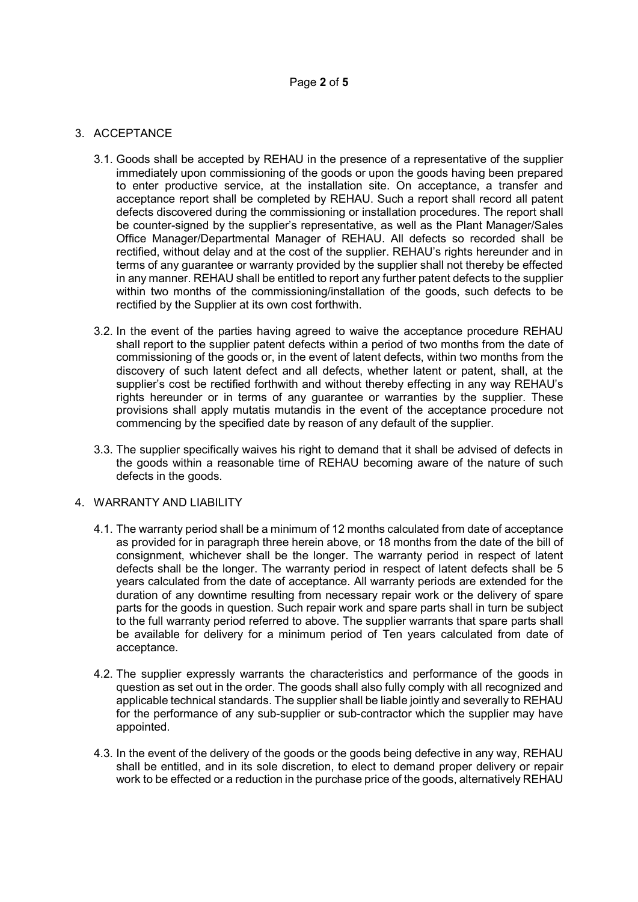## 3. ACCEPTANCE

- 3.1. Goods shall be accepted by REHAU in the presence of a representative of the supplier immediately upon commissioning of the goods or upon the goods having been prepared to enter productive service, at the installation site. On acceptance, a transfer and acceptance report shall be completed by REHAU. Such a report shall record all patent defects discovered during the commissioning or installation procedures. The report shall be counter-signed by the supplier's representative, as well as the Plant Manager/Sales Office Manager/Departmental Manager of REHAU. All defects so recorded shall be rectified, without delay and at the cost of the supplier. REHAU's rights hereunder and in terms of any guarantee or warranty provided by the supplier shall not thereby be effected in any manner. REHAU shall be entitled to report any further patent defects to the supplier within two months of the commissioning/installation of the goods, such defects to be rectified by the Supplier at its own cost forthwith.
- 3.2. In the event of the parties having agreed to waive the acceptance procedure REHAU shall report to the supplier patent defects within a period of two months from the date of commissioning of the goods or, in the event of latent defects, within two months from the discovery of such latent defect and all defects, whether latent or patent, shall, at the supplier's cost be rectified forthwith and without thereby effecting in any way REHAU's rights hereunder or in terms of any guarantee or warranties by the supplier. These provisions shall apply mutatis mutandis in the event of the acceptance procedure not commencing by the specified date by reason of any default of the supplier.
- 3.3. The supplier specifically waives his right to demand that it shall be advised of defects in the goods within a reasonable time of REHAU becoming aware of the nature of such defects in the goods.

### 4. WARRANTY AND LIABILITY

- 4.1. The warranty period shall be a minimum of 12 months calculated from date of acceptance as provided for in paragraph three herein above, or 18 months from the date of the bill of consignment, whichever shall be the longer. The warranty period in respect of latent defects shall be the longer. The warranty period in respect of latent defects shall be 5 years calculated from the date of acceptance. All warranty periods are extended for the duration of any downtime resulting from necessary repair work or the delivery of spare parts for the goods in question. Such repair work and spare parts shall in turn be subject to the full warranty period referred to above. The supplier warrants that spare parts shall be available for delivery for a minimum period of Ten years calculated from date of acceptance.
- 4.2. The supplier expressly warrants the characteristics and performance of the goods in question as set out in the order. The goods shall also fully comply with all recognized and applicable technical standards. The supplier shall be liable jointly and severally to REHAU for the performance of any sub-supplier or sub-contractor which the supplier may have appointed.
- 4.3. In the event of the delivery of the goods or the goods being defective in any way, REHAU shall be entitled, and in its sole discretion, to elect to demand proper delivery or repair work to be effected or a reduction in the purchase price of the goods, alternatively REHAU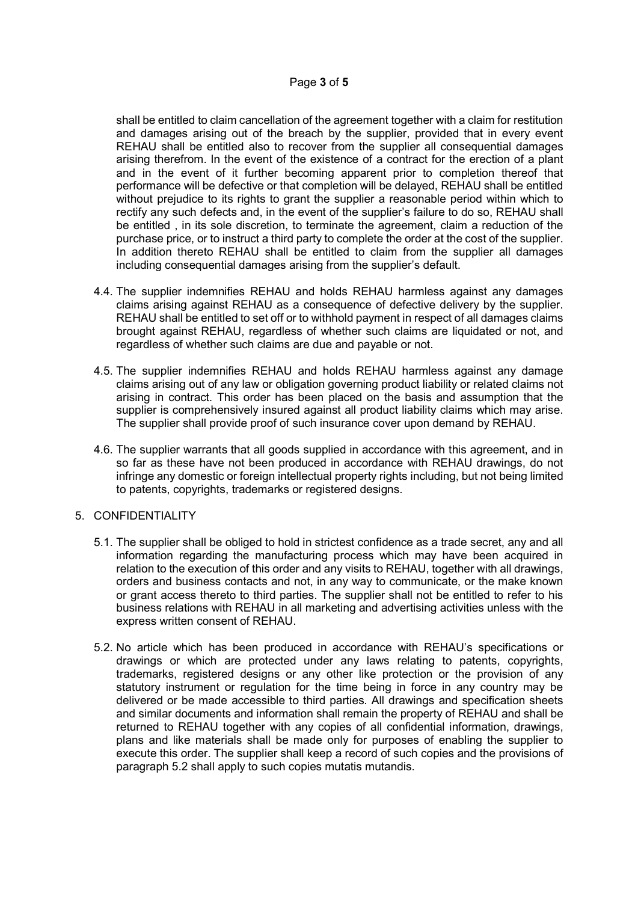shall be entitled to claim cancellation of the agreement together with a claim for restitution and damages arising out of the breach by the supplier, provided that in every event REHAU shall be entitled also to recover from the supplier all consequential damages arising therefrom. In the event of the existence of a contract for the erection of a plant and in the event of it further becoming apparent prior to completion thereof that performance will be defective or that completion will be delayed, REHAU shall be entitled without prejudice to its rights to grant the supplier a reasonable period within which to rectify any such defects and, in the event of the supplier's failure to do so, REHAU shall be entitled , in its sole discretion, to terminate the agreement, claim a reduction of the purchase price, or to instruct a third party to complete the order at the cost of the supplier. In addition thereto REHAU shall be entitled to claim from the supplier all damages including consequential damages arising from the supplier's default.

- 4.4. The supplier indemnifies REHAU and holds REHAU harmless against any damages claims arising against REHAU as a consequence of defective delivery by the supplier. REHAU shall be entitled to set off or to withhold payment in respect of all damages claims brought against REHAU, regardless of whether such claims are liquidated or not, and regardless of whether such claims are due and payable or not.
- 4.5. The supplier indemnifies REHAU and holds REHAU harmless against any damage claims arising out of any law or obligation governing product liability or related claims not arising in contract. This order has been placed on the basis and assumption that the supplier is comprehensively insured against all product liability claims which may arise. The supplier shall provide proof of such insurance cover upon demand by REHAU.
- 4.6. The supplier warrants that all goods supplied in accordance with this agreement, and in so far as these have not been produced in accordance with REHAU drawings, do not infringe any domestic or foreign intellectual property rights including, but not being limited to patents, copyrights, trademarks or registered designs.

### 5. CONFIDENTIALITY

- 5.1. The supplier shall be obliged to hold in strictest confidence as a trade secret, any and all information regarding the manufacturing process which may have been acquired in relation to the execution of this order and any visits to REHAU, together with all drawings, orders and business contacts and not, in any way to communicate, or the make known or grant access thereto to third parties. The supplier shall not be entitled to refer to his business relations with REHAU in all marketing and advertising activities unless with the express written consent of REHAU.
- 5.2. No article which has been produced in accordance with REHAU's specifications or drawings or which are protected under any laws relating to patents, copyrights, trademarks, registered designs or any other like protection or the provision of any statutory instrument or regulation for the time being in force in any country may be delivered or be made accessible to third parties. All drawings and specification sheets and similar documents and information shall remain the property of REHAU and shall be returned to REHAU together with any copies of all confidential information, drawings, plans and like materials shall be made only for purposes of enabling the supplier to execute this order. The supplier shall keep a record of such copies and the provisions of paragraph 5.2 shall apply to such copies mutatis mutandis.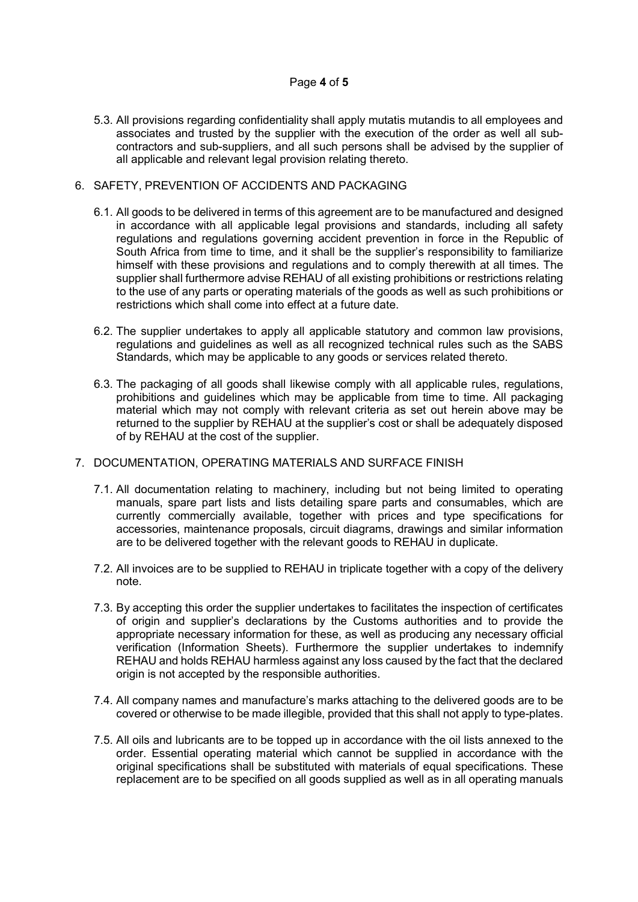## Page 4 of 5

5.3. All provisions regarding confidentiality shall apply mutatis mutandis to all employees and associates and trusted by the supplier with the execution of the order as well all subcontractors and sub-suppliers, and all such persons shall be advised by the supplier of all applicable and relevant legal provision relating thereto.

### 6. SAFETY, PREVENTION OF ACCIDENTS AND PACKAGING

- 6.1. All goods to be delivered in terms of this agreement are to be manufactured and designed in accordance with all applicable legal provisions and standards, including all safety regulations and regulations governing accident prevention in force in the Republic of South Africa from time to time, and it shall be the supplier's responsibility to familiarize himself with these provisions and regulations and to comply therewith at all times. The supplier shall furthermore advise REHAU of all existing prohibitions or restrictions relating to the use of any parts or operating materials of the goods as well as such prohibitions or restrictions which shall come into effect at a future date.
- 6.2. The supplier undertakes to apply all applicable statutory and common law provisions, regulations and guidelines as well as all recognized technical rules such as the SABS Standards, which may be applicable to any goods or services related thereto.
- 6.3. The packaging of all goods shall likewise comply with all applicable rules, regulations, prohibitions and guidelines which may be applicable from time to time. All packaging material which may not comply with relevant criteria as set out herein above may be returned to the supplier by REHAU at the supplier's cost or shall be adequately disposed of by REHAU at the cost of the supplier.

### 7. DOCUMENTATION, OPERATING MATERIALS AND SURFACE FINISH

- 7.1. All documentation relating to machinery, including but not being limited to operating manuals, spare part lists and lists detailing spare parts and consumables, which are currently commercially available, together with prices and type specifications for accessories, maintenance proposals, circuit diagrams, drawings and similar information are to be delivered together with the relevant goods to REHAU in duplicate.
- 7.2. All invoices are to be supplied to REHAU in triplicate together with a copy of the delivery note.
- 7.3. By accepting this order the supplier undertakes to facilitates the inspection of certificates of origin and supplier's declarations by the Customs authorities and to provide the appropriate necessary information for these, as well as producing any necessary official verification (Information Sheets). Furthermore the supplier undertakes to indemnify REHAU and holds REHAU harmless against any loss caused by the fact that the declared origin is not accepted by the responsible authorities.
- 7.4. All company names and manufacture's marks attaching to the delivered goods are to be covered or otherwise to be made illegible, provided that this shall not apply to type-plates.
- 7.5. All oils and lubricants are to be topped up in accordance with the oil lists annexed to the order. Essential operating material which cannot be supplied in accordance with the original specifications shall be substituted with materials of equal specifications. These replacement are to be specified on all goods supplied as well as in all operating manuals